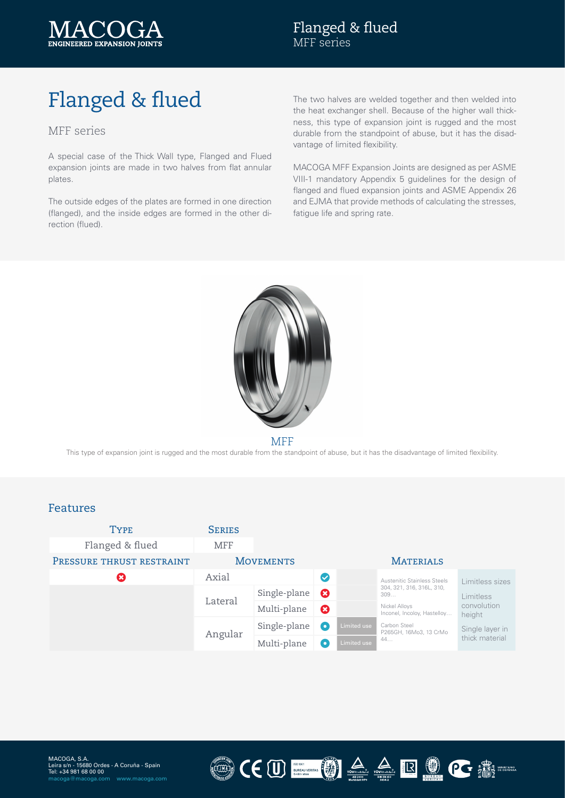

# Flanged & flued

#### MFF series

A special case of the Thick Wall type, Flanged and Flued expansion joints are made in two halves from flat annular plates.

The outside edges of the plates are formed in one direction (flanged), and the inside edges are formed in the other direction (flued).

The two halves are welded together and then welded into the heat exchanger shell. Because of the higher wall thickness, this type of expansion joint is rugged and the most durable from the standpoint of abuse, but it has the disadvantage of limited flexibility.

MACOGA MFF Expansion Joints are designed as per ASME VIII-1 mandatory Appendix 5 guidelines for the design of flanged and flued expansion joints and ASME Appendix 26 and EJMA that provide methods of calculating the stresses, fatigue life and spring rate.



MFF

This type of expansion joint is rugged and the most durable from the standpoint of abuse, but it has the disadvantage of limited flexibility.

#### Features

| <b>TYPE</b><br>Flanged & flued | <b>SERIES</b><br><b>MFF</b> |              |                      |                  |                                                                                                                                  |                                                                         |
|--------------------------------|-----------------------------|--------------|----------------------|------------------|----------------------------------------------------------------------------------------------------------------------------------|-------------------------------------------------------------------------|
| PRESSURE THRUST RESTRAINT      | <b>MOVEMENTS</b>            |              |                      | <b>MATERIALS</b> |                                                                                                                                  |                                                                         |
| $\mathbf x$                    | Axial                       |              | $\blacktriangledown$ |                  | Austenitic Stainless Steels                                                                                                      | Limitless sizes                                                         |
|                                | Lateral                     | Single-plane | Ø                    |                  | 304, 321, 316, 316L, 310,<br>309<br>Nickel Alloys<br>Inconel, Incoloy, Hastelloy<br>Carbon Steel<br>P265GH, 16Mo3, 13 CrMo<br>44 | Limitless<br>convolution<br>height<br>Single layer in<br>thick material |
|                                |                             | Multi-plane  | 0                    |                  |                                                                                                                                  |                                                                         |
|                                | Angular                     | Single-plane | $\bullet$            | Limited use      |                                                                                                                                  |                                                                         |
|                                |                             | Multi-plane  | $\bullet$            | Limited use      |                                                                                                                                  |                                                                         |

CEU EN A A B OCENTRE